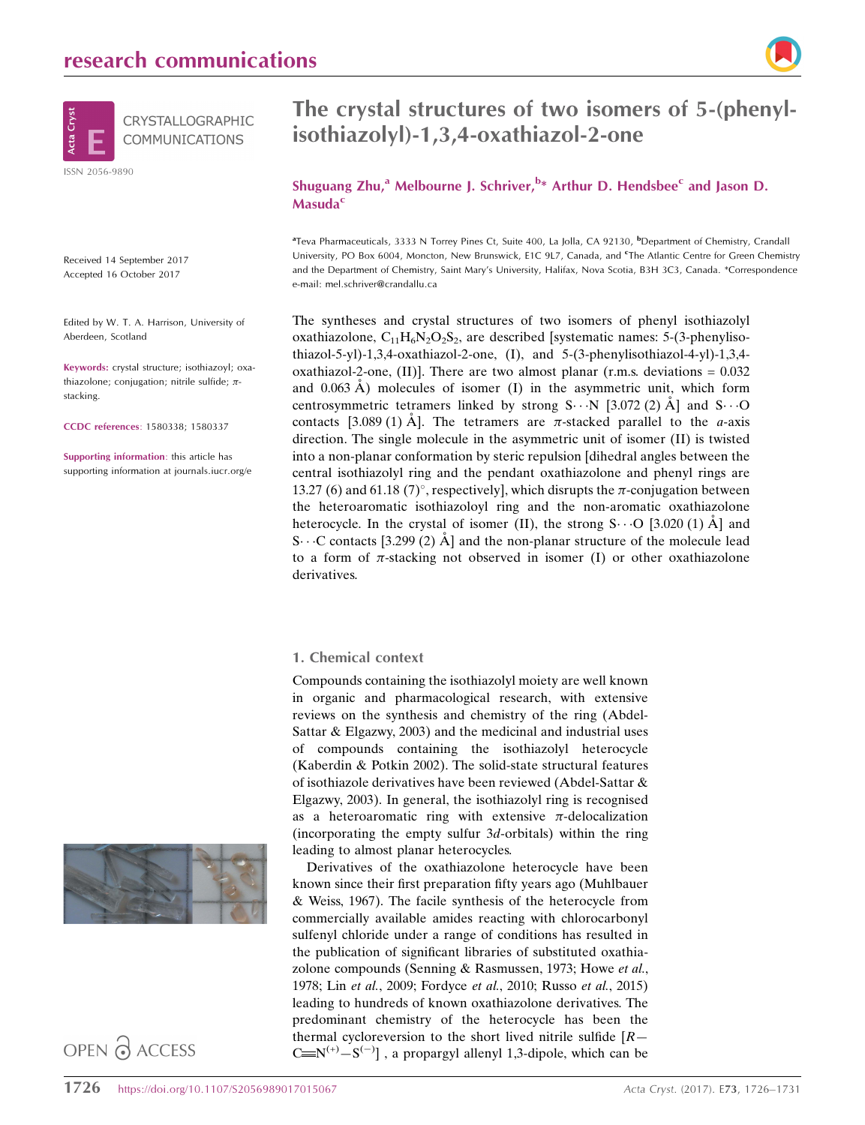

Received 14 September 2017 Accepted 16 October 2017

Edited by W. T. A. Harrison, University of Aberdeen, Scotland

Keywords: crystal structure; isothiazoyl; oxathiazolone; conjugation; nitrile sulfide;  $\pi$ stacking.

CCDC references: 1580338; 1580337

Supporting information: this article has supporting information at journals.iucr.org/e





# The crystal structures of two isomers of 5-(phenylisothiazolyl)-1,3,4-oxathiazol-2-one

Shuguang Zhu,<sup>a</sup> Melbourne J. Schriver,<sup>b\*</sup> Arthur D. Hendsbee<sup>c</sup> and Jason D. **Masuda<sup>c</sup>** 

<sup>a</sup> Teva Pharmaceuticals, 3333 N Torrey Pines Ct, Suite 400, La Jolla, CA 92130, <sup>b</sup> Department of Chemistry, Crandall University, PO Box 6004, Moncton, New Brunswick, E1C 9L7, Canada, and <sup>e</sup>The Atlantic Centre for Green Chemistry and the Department of Chemistry, Saint Mary's University, Halifax, Nova Scotia, B3H 3C3, Canada. \*Correspondence e-mail: mel.schriver@crandallu.ca

The syntheses and crystal structures of two isomers of phenyl isothiazolyl oxathiazolone,  $C_{11}H_6N_2O_2S_2$ , are described [systematic names: 5-(3-phenylisothiazol-5-yl)-1,3,4-oxathiazol-2-one, (I), and 5-(3-phenylisothiazol-4-yl)-1,3,4 oxathiazol-2-one, (II)]. There are two almost planar (r.m.s. deviations  $= 0.032$ and  $0.063 \text{ Å}$ ) molecules of isomer (I) in the asymmetric unit, which form centrosymmetric tetramers linked by strong  $S \cdots N$  [3.072 (2) Å] and  $S \cdots O$ contacts [3.089 (1) Å]. The tetramers are  $\pi$ -stacked parallel to the *a*-axis direction. The single molecule in the asymmetric unit of isomer (II) is twisted into a non-planar conformation by steric repulsion [dihedral angles between the central isothiazolyl ring and the pendant oxathiazolone and phenyl rings are 13.27 (6) and 61.18 (7)°, respectively], which disrupts the  $\pi$ -conjugation between the heteroaromatic isothiazoloyl ring and the non-aromatic oxathiazolone heterocycle. In the crystal of isomer (II), the strong  $S \cdots O$  [3.020 (1)  $\AA$ ] and S $\cdots$ C contacts [3.299 (2) Å] and the non-planar structure of the molecule lead to a form of  $\pi$ -stacking not observed in isomer (I) or other oxathiazolone derivatives.

# 1. Chemical context

Compounds containing the isothiazolyl moiety are well known in organic and pharmacological research, with extensive reviews on the synthesis and chemistry of the ring (Abdel-Sattar & Elgazwy, 2003) and the medicinal and industrial uses of compounds containing the isothiazolyl heterocycle (Kaberdin & Potkin 2002). The solid-state structural features of isothiazole derivatives have been reviewed (Abdel-Sattar & Elgazwy, 2003). In general, the isothiazolyl ring is recognised as a heteroaromatic ring with extensive  $\pi$ -delocalization (incorporating the empty sulfur  $3d$ -orbitals) within the ring leading to almost planar heterocycles.

Derivatives of the oxathiazolone heterocycle have been known since their first preparation fifty years ago (Muhlbauer & Weiss, 1967). The facile synthesis of the heterocycle from commercially available amides reacting with chlorocarbonyl sulfenyl chloride under a range of conditions has resulted in the publication of significant libraries of substituted oxathiazolone compounds (Senning & Rasmussen, 1973; Howe et al., 1978; Lin et al., 2009; Fordyce et al., 2010; Russo et al., 2015) leading to hundreds of known oxathiazolone derivatives. The predominant chemistry of the heterocycle has been the thermal cycloreversion to the short lived nitrile sulfide  $[R]$  $C = N^{(+)} - S^{(-)}$ ], a propargyl allenyl 1,3-dipole, which can be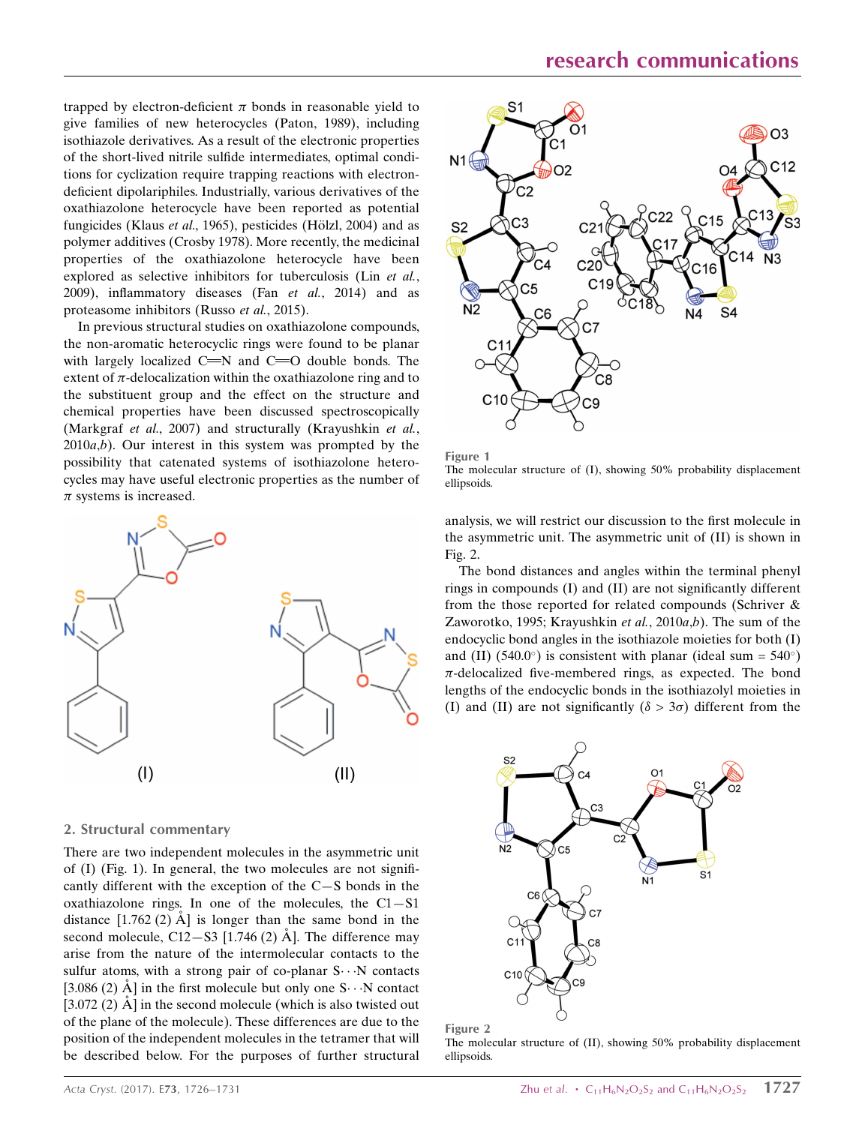trapped by electron-deficient  $\pi$  bonds in reasonable yield to give families of new heterocycles (Paton, 1989), including isothiazole derivatives. As a result of the electronic properties of the short-lived nitrile sulfide intermediates, optimal conditions for cyclization require trapping reactions with electrondeficient dipolariphiles. Industrially, various derivatives of the oxathiazolone heterocycle have been reported as potential fungicides (Klaus et al., 1965), pesticides (Hölzl, 2004) and as polymer additives (Crosby 1978). More recently, the medicinal properties of the oxathiazolone heterocycle have been explored as selective inhibitors for tuberculosis (Lin et al., 2009), inflammatory diseases (Fan et al., 2014) and as proteasome inhibitors (Russo et al., 2015).

In previous structural studies on oxathiazolone compounds, the non-aromatic heterocyclic rings were found to be planar with largely localized  $C = N$  and  $C = O$  double bonds. The extent of  $\pi$ -delocalization within the oxathiazolone ring and to the substituent group and the effect on the structure and chemical properties have been discussed spectroscopically (Markgraf et al., 2007) and structurally (Krayushkin et al.,  $2010a,b$ ). Our interest in this system was prompted by the possibility that catenated systems of isothiazolone heterocycles may have useful electronic properties as the number of  $\pi$  systems is increased.



#### 2. Structural commentary

There are two independent molecules in the asymmetric unit of (I) (Fig. 1). In general, the two molecules are not significantly different with the exception of the C—S bonds in the oxathiazolone rings. In one of the molecules, the  $C1-S1$ distance  $[1.762(2)$  Å is longer than the same bond in the second molecule,  $C12-S3$  [1.746 (2)  $\AA$ ]. The difference may arise from the nature of the intermolecular contacts to the sulfur atoms, with a strong pair of co-planar S...N contacts [3.086 (2)  $\AA$ ] in the first molecule but only one S $\cdots$ N contact  $[3.072 (2)$   $\AA]$  in the second molecule (which is also twisted out of the plane of the molecule). These differences are due to the position of the independent molecules in the tetramer that will be described below. For the purposes of further structural





analysis, we will restrict our discussion to the first molecule in the asymmetric unit. The asymmetric unit of (II) is shown in Fig. 2.

The bond distances and angles within the terminal phenyl rings in compounds (I) and (II) are not significantly different from the those reported for related compounds (Schriver & Zaworotko, 1995; Krayushkin et al.,  $2010a,b$ ). The sum of the endocyclic bond angles in the isothiazole moieties for both (I) and (II) (540.0°) is consistent with planar (ideal sum =  $540^{\circ}$ )  $\pi$ -delocalized five-membered rings, as expected. The bond lengths of the endocyclic bonds in the isothiazolyl moieties in (I) and (II) are not significantly ( $\delta > 3\sigma$ ) different from the



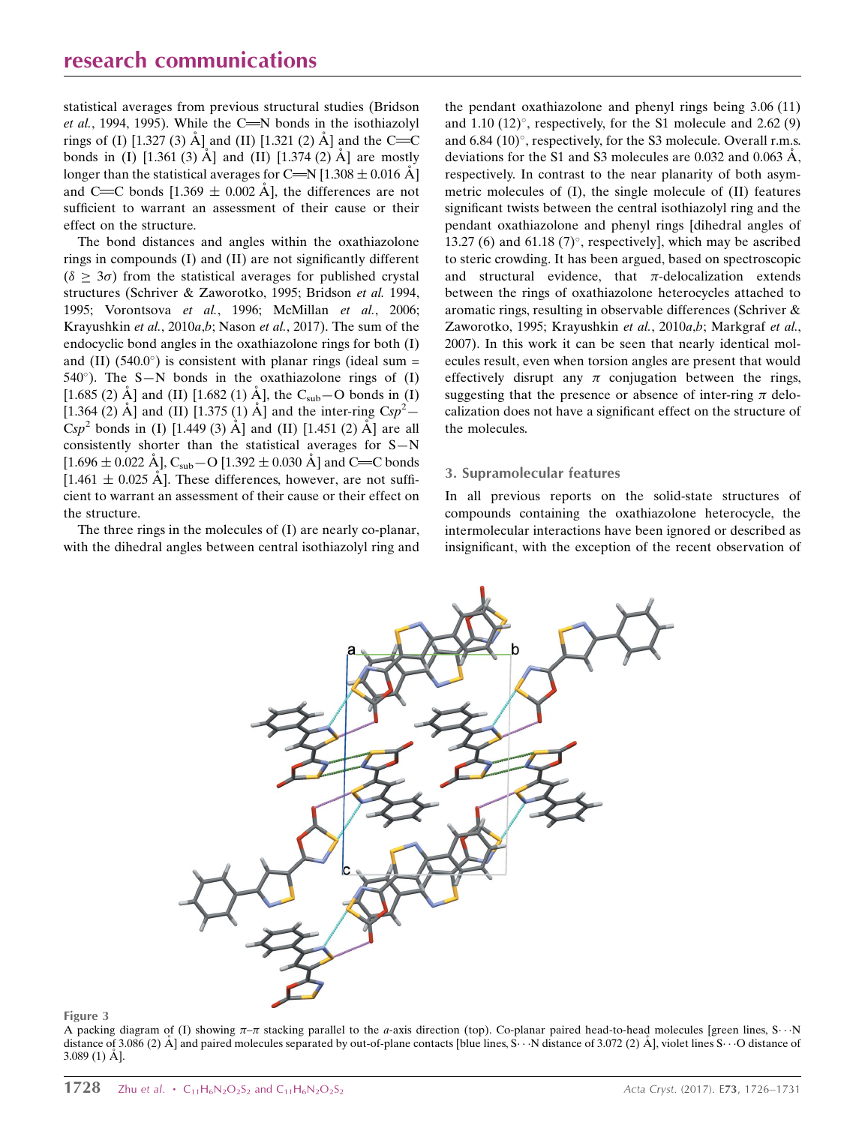statistical averages from previous structural studies (Bridson *et al.*, 1994, 1995). While the C $\equiv$ N bonds in the isothiazolyl rings of (I) [1.327 (3)  $\AA$ ] and (II) [1.321 (2)  $\AA$ ] and the C=C bonds in (I)  $[1.361 (3)$  Å ] and (II)  $[1.374 (2)$  Å ] are mostly longer than the statistical averages for C=N [1.308  $\pm$  0.016 Å] and C=C bonds  $[1.369 \pm 0.002 \text{ Å}]$ , the differences are not sufficient to warrant an assessment of their cause or their effect on the structure.

The bond distances and angles within the oxathiazolone rings in compounds (I) and (II) are not significantly different  $(\delta \geq 3\sigma)$  from the statistical averages for published crystal structures (Schriver & Zaworotko, 1995; Bridson et al. 1994, 1995; Vorontsova et al., 1996; McMillan et al., 2006; Krayushkin et al., 2010a,b; Nason et al., 2017). The sum of the endocyclic bond angles in the oxathiazolone rings for both (I) and (II) (540.0 $^{\circ}$ ) is consistent with planar rings (ideal sum =  $540^{\circ}$ ). The S-N bonds in the oxathiazolone rings of (I) [1.685 (2)  $\AA$ ] and (II) [1.682 (1)  $\AA$ ], the C<sub>sub</sub> - O bonds in (I) [1.364 (2) Å] and (II) [1.375 (1) Å] and the inter-ring  $Csp^2$  –  $Csp^2$  bonds in (I) [1.449 (3) Å] and (II) [1.451 (2) Å] are all consistently shorter than the statistical averages for S—N  $[1.696 \pm 0.022 \text{ Å}]$ , C<sub>sub</sub> – O  $[1.392 \pm 0.030 \text{ Å}]$  and C=C bonds  $[1.461 \pm 0.025 \text{ Å}]$ . These differences, however, are not sufficient to warrant an assessment of their cause or their effect on the structure.

The three rings in the molecules of (I) are nearly co-planar, with the dihedral angles between central isothiazolyl ring and the pendant oxathiazolone and phenyl rings being 3.06 (11) and  $1.10$  (12)°, respectively, for the S1 molecule and  $2.62$  (9) and  $6.84$  (10) $^{\circ}$ , respectively, for the S3 molecule. Overall r.m.s. deviations for the S1 and S3 molecules are 0.032 and 0.063  $\AA$ . respectively. In contrast to the near planarity of both asymmetric molecules of (I), the single molecule of (II) features significant twists between the central isothiazolyl ring and the pendant oxathiazolone and phenyl rings [dihedral angles of 13.27 (6) and 61.18 (7) $^{\circ}$ , respectively], which may be ascribed to steric crowding. It has been argued, based on spectroscopic and structural evidence, that  $\pi$ -delocalization extends between the rings of oxathiazolone heterocycles attached to aromatic rings, resulting in observable differences (Schriver & Zaworotko, 1995; Krayushkin et al., 2010a,b; Markgraf et al., 2007). In this work it can be seen that nearly identical molecules result, even when torsion angles are present that would effectively disrupt any  $\pi$  conjugation between the rings, suggesting that the presence or absence of inter-ring  $\pi$  delocalization does not have a significant effect on the structure of the molecules.

### 3. Supramolecular features

In all previous reports on the solid-state structures of compounds containing the oxathiazolone heterocycle, the intermolecular interactions have been ignored or described as insignificant, with the exception of the recent observation of



Figure 3

A packing diagram of (I) showing  $\pi-\pi$  stacking parallel to the *a*-axis direction (top). Co-planar paired head-to-head molecules [green lines, S $\cdots$ N distance of 3.086 (2) Å] and paired molecules separated by out-of-plane contacts [blue lines, S.  $\cdot \cdot$  N distance of 3.072 (2) Å], violet lines S.  $\cdot \cdot$  O distance of  $3.089(1)$  Å].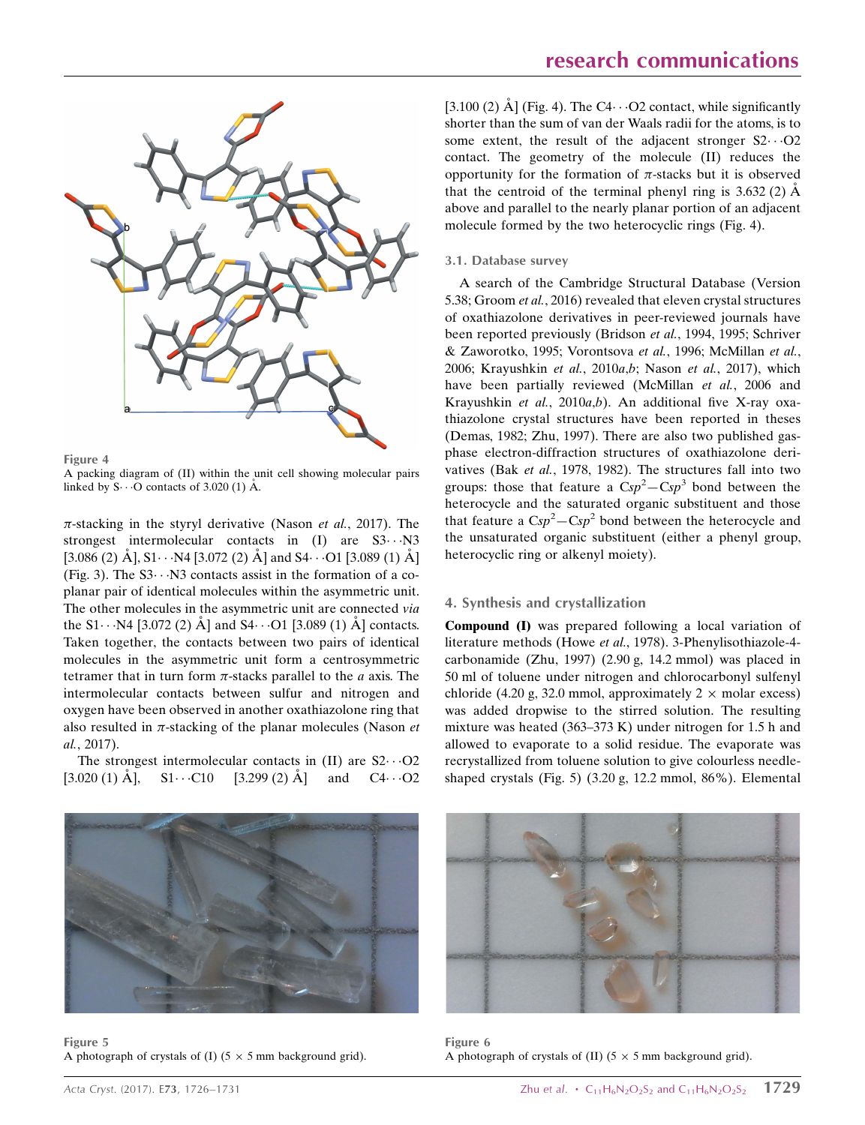

Figure 4

A packing diagram of (II) within the unit cell showing molecular pairs linked by  $S \cdot \cdot \cdot O$  contacts of 3.020 (1) Å.

 $\pi$ -stacking in the styryl derivative (Nason et al., 2017). The strongest intermolecular contacts in  $(I)$  are  $S3 \cdot \cdot \cdot N3$ [3.086 (2)  $\rm \AA]$ , S1 $\cdots$ N4 [3.072 (2)  $\rm \AA$ ] and S4 $\cdots$ O1 [3.089 (1)  $\rm \AA$ ] (Fig. 3). The  $S3 \cdots N3$  contacts assist in the formation of a coplanar pair of identical molecules within the asymmetric unit. The other molecules in the asymmetric unit are connected via the S1 $\cdots$ N4 [3.072 (2)  $\AA$ ] and S4 $\cdots$ O1 [3.089 (1)  $\AA$ ] contacts. Taken together, the contacts between two pairs of identical molecules in the asymmetric unit form a centrosymmetric tetramer that in turn form  $\pi$ -stacks parallel to the  $a$  axis. The intermolecular contacts between sulfur and nitrogen and oxygen have been observed in another oxathiazolone ring that also resulted in  $\pi$ -stacking of the planar molecules (Nason et al., 2017).

The strongest intermolecular contacts in  $(II)$  are  $S2 \cdots O2$  $[3.020 (1) \text{ Å}]$ ,  $S1 \cdots C10$   $[3.299 (2) \text{ Å}]$  and  $C4 \cdots O2$ 



[3.100 (2) Å] (Fig. 4). The C4 $\cdot \cdot$  -O2 contact, while significantly shorter than the sum of van der Waals radii for the atoms, is to some extent, the result of the adjacent stronger  $S2 \cdots O2$ contact. The geometry of the molecule (II) reduces the opportunity for the formation of  $\pi$ -stacks but it is observed that the centroid of the terminal phenyl ring is  $3.632(2)$   $\AA$ above and parallel to the nearly planar portion of an adjacent molecule formed by the two heterocyclic rings (Fig. 4).

#### 3.1. Database survey

A search of the Cambridge Structural Database (Version 5.38; Groom et al., 2016) revealed that eleven crystal structures of oxathiazolone derivatives in peer-reviewed journals have been reported previously (Bridson et al., 1994, 1995; Schriver & Zaworotko, 1995; Vorontsova et al., 1996; McMillan et al., 2006; Krayushkin et al., 2010a,b; Nason et al., 2017), which have been partially reviewed (McMillan et al., 2006 and Krayushkin et al., 2010a,b). An additional five X-ray oxathiazolone crystal structures have been reported in theses (Demas, 1982; Zhu, 1997). There are also two published gasphase electron-diffraction structures of oxathiazolone derivatives (Bak et al., 1978, 1982). The structures fall into two groups: those that feature a  $Csp^2 - Csp^3$  bond between the heterocycle and the saturated organic substituent and those that feature a  $Csp^2 - Csp^2$  bond between the heterocycle and the unsaturated organic substituent (either a phenyl group, heterocyclic ring or alkenyl moiety).

#### 4. Synthesis and crystallization

Compound (I) was prepared following a local variation of literature methods (Howe et al., 1978). 3-Phenylisothiazole-4 carbonamide (Zhu, 1997) (2.90 g, 14.2 mmol) was placed in 50 ml of toluene under nitrogen and chlorocarbonyl sulfenyl chloride (4.20 g, 32.0 mmol, approximately  $2 \times$  molar excess) was added dropwise to the stirred solution. The resulting mixture was heated (363–373 K) under nitrogen for 1.5 h and allowed to evaporate to a solid residue. The evaporate was recrystallized from toluene solution to give colourless needleshaped crystals (Fig. 5) (3.20 g, 12.2 mmol, 86%). Elemental



Figure 5 A photograph of crystals of (I) ( $5 \times 5$  mm background grid).



Figure 6 A photograph of crystals of (II) ( $5 \times 5$  mm background grid).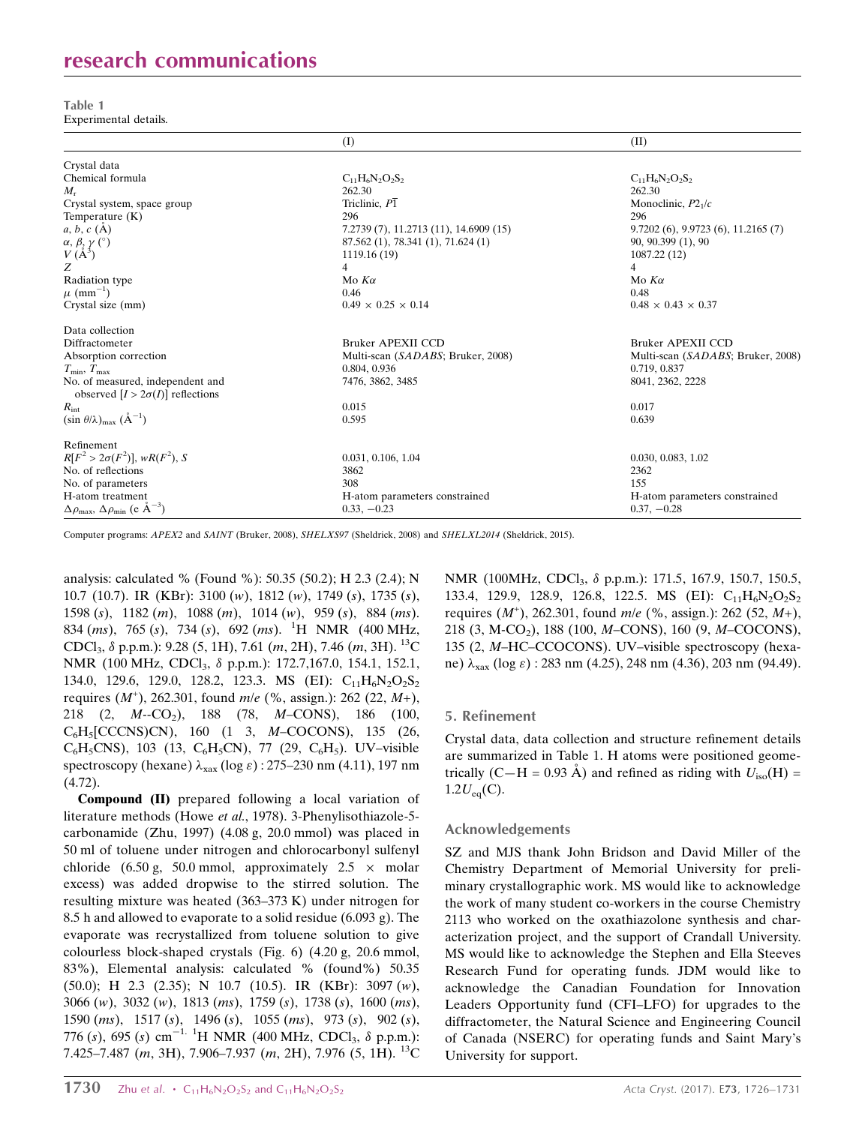# research communications

Table 1 Experimental details.

|                                                                         | (I)                                    | (II)                                     |
|-------------------------------------------------------------------------|----------------------------------------|------------------------------------------|
| Crystal data                                                            |                                        |                                          |
| Chemical formula                                                        | $C_{11}H_6N_2O_2S_2$                   | $C_{11}H_6N_2O_2S_2$                     |
| $M_{r}$                                                                 | 262.30                                 | 262.30                                   |
| Crystal system, space group                                             | Triclinic, $P\overline{1}$             | Monoclinic, $P21/c$                      |
| Temperature $(K)$                                                       | 296                                    | 296                                      |
| $a, b, c$ (A)                                                           | 7.2739 (7), 11.2713 (11), 14.6909 (15) | $9.7202(6)$ , $9.9723(6)$ , $11.2165(7)$ |
|                                                                         | 87.562 (1), 78.341 (1), 71.624 (1)     | 90, 90.399 (1), 90                       |
| $\alpha,\,\beta,\,\gamma\ (\hat{ }^{\circ })$ $V\,(\mathrm{A}^3)$       | 1119.16 (19)                           | 1087.22 (12)                             |
| Z                                                                       | 4                                      | $\overline{4}$                           |
| Radiation type                                                          | Mo $K\alpha$                           | Mo $K\alpha$                             |
| $\mu$ (mm <sup>-1</sup> )                                               | 0.46                                   | 0.48                                     |
| Crystal size (mm)                                                       | $0.49 \times 0.25 \times 0.14$         | $0.48 \times 0.43 \times 0.37$           |
| Data collection                                                         |                                        |                                          |
| Diffractometer                                                          | Bruker APEXII CCD                      | <b>Bruker APEXII CCD</b>                 |
| Absorption correction                                                   | Multi-scan (SADABS; Bruker, 2008)      | Multi-scan (SADABS; Bruker, 2008)        |
| $T_{\min}$ , $T_{\max}$                                                 | 0.804, 0.936                           | 0.719, 0.837                             |
| No. of measured, independent and                                        | 7476, 3862, 3485                       | 8041, 2362, 2228                         |
| observed $[I > 2\sigma(I)]$ reflections                                 |                                        |                                          |
| $R_{\rm int}$                                                           | 0.015                                  | 0.017                                    |
| $(\sin \theta/\lambda)_{\text{max}}$ $(\text{A}^{-1})$                  | 0.595                                  | 0.639                                    |
| Refinement                                                              |                                        |                                          |
| $R[F^2 > 2\sigma(F^2)], wR(F^2), S$                                     | 0.031, 0.106, 1.04                     | 0.030, 0.083, 1.02                       |
| No. of reflections                                                      | 3862                                   | 2362                                     |
| No. of parameters                                                       | 308                                    | 155                                      |
| H-atom treatment                                                        | H-atom parameters constrained          | H-atom parameters constrained            |
| $\Delta \rho_{\text{max}}$ , $\Delta \rho_{\text{min}}$ (e $\AA^{-3}$ ) | $0.33, -0.23$                          | $0.37, -0.28$                            |

Computer programs: APEX2 and SAINT (Bruker, 2008), SHELXS97 (Sheldrick, 2008) and SHELXL2014 (Sheldrick, 2015).

analysis: calculated % (Found %): 50.35 (50.2); H 2.3 (2.4); N 10.7 (10.7). IR (KBr): 3100 (w), 1812 (w), 1749 (s), 1735 (s), 1598 (s), 1182 (m), 1088 (m), 1014 (w), 959 (s), 884 (ms). 834 (*ms*), 765 (*s*), 734 (*s*), 692 (*ms*). <sup>1</sup>H NMR (400 MHz, CDCl<sub>3</sub>,  $\delta$  p.p.m.): 9.28 (5, 1H), 7.61 (*m*, 2H), 7.46 (*m*, 3H). <sup>13</sup>C NMR (100 MHz, CDCl<sub>3</sub>, δ p.p.m.): 172.7,167.0, 154.1, 152.1, 134.0, 129.6, 129.0, 128.2, 123.3. MS (EI):  $C_{11}H_6N_2O_2S_2$ requires  $(M^+)$ , 262.301, found  $m/e$  (%, assign.): 262 (22,  $M+$ ), 218 (2, M--CO2), 188 (78, M–CONS), 186 (100, C6H5[CCCNS)CN), 160 (1 3, M–COCONS), 135 (26,  $C_6H_5CNS$ , 103 (13,  $C_6H_5CN$ ), 77 (29,  $C_6H_5$ ). UV–visible spectroscopy (hexane)  $\lambda_{\text{max}}$  (log  $\varepsilon$ ) : 275–230 nm (4.11), 197 nm (4.72).

Compound (II) prepared following a local variation of literature methods (Howe et al., 1978). 3-Phenylisothiazole-5 carbonamide (Zhu, 1997) (4.08 g, 20.0 mmol) was placed in 50 ml of toluene under nitrogen and chlorocarbonyl sulfenyl chloride (6.50 g, 50.0 mmol, approximately  $2.5 \times$  molar excess) was added dropwise to the stirred solution. The resulting mixture was heated (363–373 K) under nitrogen for 8.5 h and allowed to evaporate to a solid residue (6.093 g). The evaporate was recrystallized from toluene solution to give colourless block-shaped crystals (Fig. 6) (4.20 g, 20.6 mmol, 83%), Elemental analysis: calculated % (found%) 50.35 (50.0); H 2.3 (2.35); N 10.7 (10.5). IR (KBr): 3097 (w), 3066 (w), 3032 (w), 1813 (ms), 1759 (s), 1738 (s), 1600 (ms), 1590 (ms), 1517 (s), 1496 (s), 1055 (ms), 973 (s), 902 (s), 776 (s), 695 (s) cm<sup>-1. 1</sup>H NMR (400 MHz, CDCl<sub>3</sub>,  $\delta$  p.p.m.): 7.425–7.487 (m, 3H), 7.906–7.937 (m, 2H), 7.976 (5, 1H). <sup>13</sup>C NMR (100MHz, CDCl<sub>3</sub>, δ p.p.m.): 171.5, 167.9, 150.7, 150.5, 133.4, 129.9, 128.9, 126.8, 122.5. MS (EI):  $C_{11}H_6N_2O_2S_2$ requires  $(M^+)$ , 262.301, found m/e (%, assign.): 262 (52, M+), 218 (3, M-CO2), 188 (100, M–CONS), 160 (9, M–COCONS), 135 (2, M–HC–CCOCONS). UV–visible spectroscopy (hexane)  $\lambda_{\text{max}}$  (log  $\varepsilon$ ) : 283 nm (4.25), 248 nm (4.36), 203 nm (94.49).

# 5. Refinement

Crystal data, data collection and structure refinement details are summarized in Table 1. H atoms were positioned geometrically (C—H = 0.93 Å) and refined as riding with  $U_{\text{iso}}(H)$  =  $1.2U_{eq}(C)$ .

# Acknowledgements

SZ and MJS thank John Bridson and David Miller of the Chemistry Department of Memorial University for preliminary crystallographic work. MS would like to acknowledge the work of many student co-workers in the course Chemistry 2113 who worked on the oxathiazolone synthesis and characterization project, and the support of Crandall University. MS would like to acknowledge the Stephen and Ella Steeves Research Fund for operating funds. JDM would like to acknowledge the Canadian Foundation for Innovation Leaders Opportunity fund (CFI–LFO) for upgrades to the diffractometer, the Natural Science and Engineering Council of Canada (NSERC) for operating funds and Saint Mary's University for support.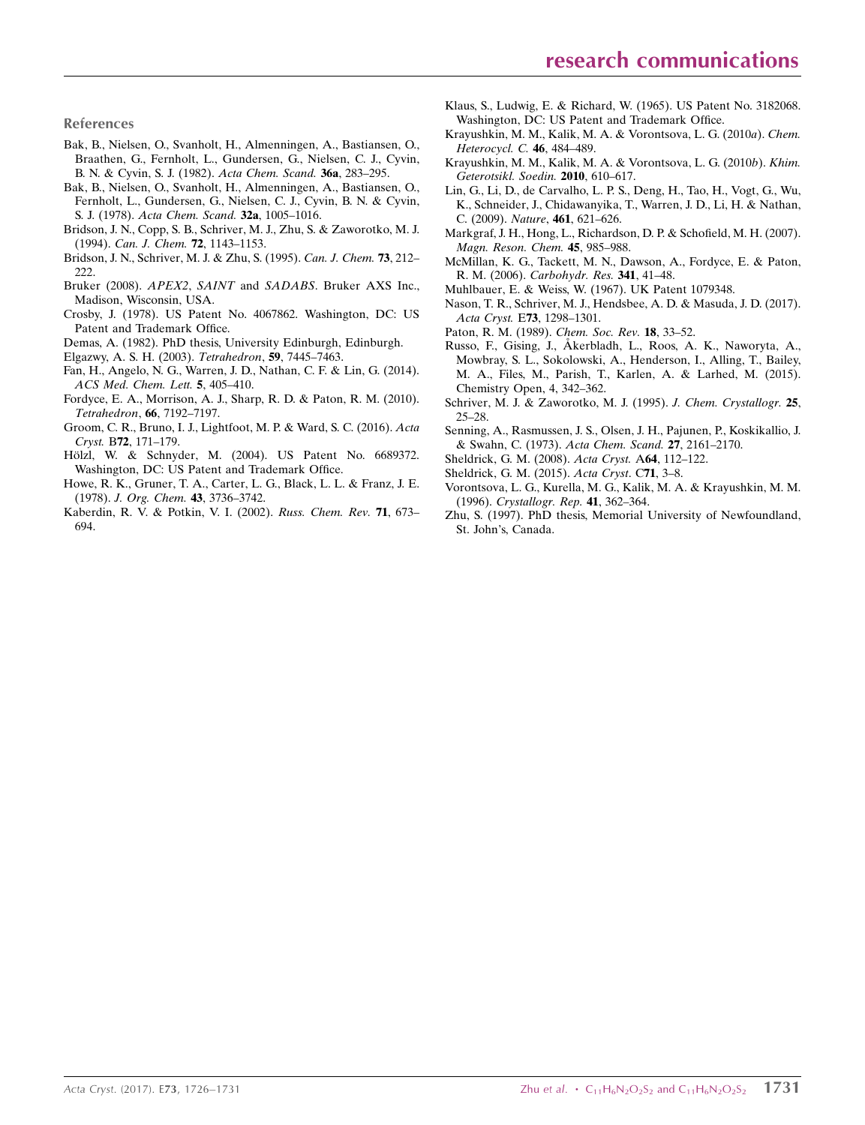References

- [Bak, B., Nielsen, O., Svanholt, H., Almenningen, A., Bastiansen, O.,](https://scripts.iucr.org/cgi-bin/cr.cgi?rm=pdfbb&cnor=hb7705&bbid=BB1) [Braathen, G., Fernholt, L., Gundersen, G., Nielsen, C. J., Cyvin,](https://scripts.iucr.org/cgi-bin/cr.cgi?rm=pdfbb&cnor=hb7705&bbid=BB1) [B. N. & Cyvin, S. J. \(1982\).](https://scripts.iucr.org/cgi-bin/cr.cgi?rm=pdfbb&cnor=hb7705&bbid=BB1) Acta Chem. Scand. 36a, 283–295.
- [Bak, B., Nielsen, O., Svanholt, H., Almenningen, A., Bastiansen, O.,](https://scripts.iucr.org/cgi-bin/cr.cgi?rm=pdfbb&cnor=hb7705&bbid=BB2) [Fernholt, L., Gundersen, G., Nielsen, C. J., Cyvin, B. N. & Cyvin,](https://scripts.iucr.org/cgi-bin/cr.cgi?rm=pdfbb&cnor=hb7705&bbid=BB2) S. J. (1978). [Acta Chem. Scand.](https://scripts.iucr.org/cgi-bin/cr.cgi?rm=pdfbb&cnor=hb7705&bbid=BB2) 32a, 1005–1016.
- [Bridson, J. N., Copp, S. B., Schriver, M. J., Zhu, S. & Zaworotko, M. J.](https://scripts.iucr.org/cgi-bin/cr.cgi?rm=pdfbb&cnor=hb7705&bbid=BB3) (1994). [Can. J. Chem.](https://scripts.iucr.org/cgi-bin/cr.cgi?rm=pdfbb&cnor=hb7705&bbid=BB3) 72, 1143–1153.
- [Bridson, J. N., Schriver, M. J. & Zhu, S. \(1995\).](https://scripts.iucr.org/cgi-bin/cr.cgi?rm=pdfbb&cnor=hb7705&bbid=BB4) Can. J. Chem. 73, 212– [222.](https://scripts.iucr.org/cgi-bin/cr.cgi?rm=pdfbb&cnor=hb7705&bbid=BB4)
- Bruker (2008). APEX2, SAINT and SADABS[. Bruker AXS Inc.,](https://scripts.iucr.org/cgi-bin/cr.cgi?rm=pdfbb&cnor=hb7705&bbid=BB5) [Madison, Wisconsin, USA.](https://scripts.iucr.org/cgi-bin/cr.cgi?rm=pdfbb&cnor=hb7705&bbid=BB5)
- [Crosby, J. \(1978\). US Patent No. 4067862. Washington, DC: US](https://scripts.iucr.org/cgi-bin/cr.cgi?rm=pdfbb&cnor=hb7705&bbid=BB6) [Patent and Trademark Office.](https://scripts.iucr.org/cgi-bin/cr.cgi?rm=pdfbb&cnor=hb7705&bbid=BB6)
- [Demas, A. \(1982\). PhD thesis, University Edinburgh, Edinburgh.](https://scripts.iucr.org/cgi-bin/cr.cgi?rm=pdfbb&cnor=hb7705&bbid=BB7)
- [Elgazwy, A. S. H. \(2003\).](https://scripts.iucr.org/cgi-bin/cr.cgi?rm=pdfbb&cnor=hb7705&bbid=BB8) Tetrahedron, 59, 7445–7463.
- [Fan, H., Angelo, N. G., Warren, J. D., Nathan, C. F. & Lin, G. \(2014\).](https://scripts.iucr.org/cgi-bin/cr.cgi?rm=pdfbb&cnor=hb7705&bbid=BB9) [ACS Med. Chem. Lett.](https://scripts.iucr.org/cgi-bin/cr.cgi?rm=pdfbb&cnor=hb7705&bbid=BB9) 5, 405–410.
- [Fordyce, E. A., Morrison, A. J., Sharp, R. D. & Paton, R. M. \(2010\).](https://scripts.iucr.org/cgi-bin/cr.cgi?rm=pdfbb&cnor=hb7705&bbid=BB10) Tetrahedron, 66[, 7192–7197.](https://scripts.iucr.org/cgi-bin/cr.cgi?rm=pdfbb&cnor=hb7705&bbid=BB10)
- [Groom, C. R., Bruno, I. J., Lightfoot, M. P. & Ward, S. C. \(2016\).](https://scripts.iucr.org/cgi-bin/cr.cgi?rm=pdfbb&cnor=hb7705&bbid=BB11) Acta Cryst. B72[, 171–179.](https://scripts.iucr.org/cgi-bin/cr.cgi?rm=pdfbb&cnor=hb7705&bbid=BB11)
- Hölzl, W. & Schnyder, M. (2004). US Patent No. 6689372. [Washington, DC: US Patent and Trademark Office.](https://scripts.iucr.org/cgi-bin/cr.cgi?rm=pdfbb&cnor=hb7705&bbid=BB12)
- [Howe, R. K., Gruner, T. A., Carter, L. G., Black, L. L. & Franz, J. E.](https://scripts.iucr.org/cgi-bin/cr.cgi?rm=pdfbb&cnor=hb7705&bbid=BB13) (1978). [J. Org. Chem.](https://scripts.iucr.org/cgi-bin/cr.cgi?rm=pdfbb&cnor=hb7705&bbid=BB13) 43, 3736–3742.
- [Kaberdin, R. V. & Potkin, V. I. \(2002\).](https://scripts.iucr.org/cgi-bin/cr.cgi?rm=pdfbb&cnor=hb7705&bbid=BB14) Russ. Chem. Rev. 71, 673– [694.](https://scripts.iucr.org/cgi-bin/cr.cgi?rm=pdfbb&cnor=hb7705&bbid=BB14)
- [Klaus, S., Ludwig, E. & Richard, W. \(1965\). US Patent No. 3182068.](https://scripts.iucr.org/cgi-bin/cr.cgi?rm=pdfbb&cnor=hb7705&bbid=BB15) [Washington, DC: US Patent and Trademark Office.](https://scripts.iucr.org/cgi-bin/cr.cgi?rm=pdfbb&cnor=hb7705&bbid=BB15)
- [Krayushkin, M. M., Kalik, M. A. & Vorontsova, L. G. \(2010](https://scripts.iucr.org/cgi-bin/cr.cgi?rm=pdfbb&cnor=hb7705&bbid=BB16)a). Chem. [Heterocycl. C.](https://scripts.iucr.org/cgi-bin/cr.cgi?rm=pdfbb&cnor=hb7705&bbid=BB16) 46, 484–489.
- [Krayushkin, M. M., Kalik, M. A. & Vorontsova, L. G. \(2010](https://scripts.iucr.org/cgi-bin/cr.cgi?rm=pdfbb&cnor=hb7705&bbid=BB17)b). Khim. [Geterotsikl. Soedin.](https://scripts.iucr.org/cgi-bin/cr.cgi?rm=pdfbb&cnor=hb7705&bbid=BB17) 2010, 610–617.
- [Lin, G., Li, D., de Carvalho, L. P. S., Deng, H., Tao, H., Vogt, G., Wu,](https://scripts.iucr.org/cgi-bin/cr.cgi?rm=pdfbb&cnor=hb7705&bbid=BB18) [K., Schneider, J., Chidawanyika, T., Warren, J. D., Li, H. & Nathan,](https://scripts.iucr.org/cgi-bin/cr.cgi?rm=pdfbb&cnor=hb7705&bbid=BB18) C. (2009). Nature, 461[, 621–626.](https://scripts.iucr.org/cgi-bin/cr.cgi?rm=pdfbb&cnor=hb7705&bbid=BB18)
- [Markgraf, J. H., Hong, L., Richardson, D. P. & Schofield, M. H. \(2007\).](https://scripts.iucr.org/cgi-bin/cr.cgi?rm=pdfbb&cnor=hb7705&bbid=BB19) [Magn. Reson. Chem.](https://scripts.iucr.org/cgi-bin/cr.cgi?rm=pdfbb&cnor=hb7705&bbid=BB19) 45, 985–988.
- [McMillan, K. G., Tackett, M. N., Dawson, A., Fordyce, E. & Paton,](https://scripts.iucr.org/cgi-bin/cr.cgi?rm=pdfbb&cnor=hb7705&bbid=BB20) R. M. (2006). [Carbohydr. Res.](https://scripts.iucr.org/cgi-bin/cr.cgi?rm=pdfbb&cnor=hb7705&bbid=BB20) 341, 41–48.
- [Muhlbauer, E. & Weiss, W. \(1967\). UK Patent 1079348.](https://scripts.iucr.org/cgi-bin/cr.cgi?rm=pdfbb&cnor=hb7705&bbid=BB21)
- [Nason, T. R., Schriver, M. J., Hendsbee, A. D. & Masuda, J. D. \(2017\).](https://scripts.iucr.org/cgi-bin/cr.cgi?rm=pdfbb&cnor=hb7705&bbid=BB22) Acta Cryst. E73[, 1298–1301.](https://scripts.iucr.org/cgi-bin/cr.cgi?rm=pdfbb&cnor=hb7705&bbid=BB22)
- [Paton, R. M. \(1989\).](https://scripts.iucr.org/cgi-bin/cr.cgi?rm=pdfbb&cnor=hb7705&bbid=BB23) Chem. Soc. Rev. 18, 33–52.
- Russo, F., Gising, J., Å[kerbladh, L., Roos, A. K., Naworyta, A.,](https://scripts.iucr.org/cgi-bin/cr.cgi?rm=pdfbb&cnor=hb7705&bbid=BB24) [Mowbray, S. L., Sokolowski, A., Henderson, I., Alling, T., Bailey,](https://scripts.iucr.org/cgi-bin/cr.cgi?rm=pdfbb&cnor=hb7705&bbid=BB24) [M. A., Files, M., Parish, T., Karlen, A. & Larhed, M. \(2015\).](https://scripts.iucr.org/cgi-bin/cr.cgi?rm=pdfbb&cnor=hb7705&bbid=BB24) [Chemistry Open, 4, 342–362.](https://scripts.iucr.org/cgi-bin/cr.cgi?rm=pdfbb&cnor=hb7705&bbid=BB24)
- [Schriver, M. J. & Zaworotko, M. J. \(1995\).](https://scripts.iucr.org/cgi-bin/cr.cgi?rm=pdfbb&cnor=hb7705&bbid=BB25) J. Chem. Crystallogr. 25, [25–28.](https://scripts.iucr.org/cgi-bin/cr.cgi?rm=pdfbb&cnor=hb7705&bbid=BB25)
- [Senning, A., Rasmussen, J. S., Olsen, J. H., Pajunen, P., Koskikallio, J.](https://scripts.iucr.org/cgi-bin/cr.cgi?rm=pdfbb&cnor=hb7705&bbid=BB26) [& Swahn, C. \(1973\).](https://scripts.iucr.org/cgi-bin/cr.cgi?rm=pdfbb&cnor=hb7705&bbid=BB26) Acta Chem. Scand. 27, 2161–2170.
- [Sheldrick, G. M. \(2008\).](https://scripts.iucr.org/cgi-bin/cr.cgi?rm=pdfbb&cnor=hb7705&bbid=BB27) Acta Cryst. A64, 112–122.
- [Sheldrick, G. M. \(2015\).](https://scripts.iucr.org/cgi-bin/cr.cgi?rm=pdfbb&cnor=hb7705&bbid=BB30) Acta Cryst. C71, 3–8.
- [Vorontsova, L. G., Kurella, M. G., Kalik, M. A. & Krayushkin, M. M.](https://scripts.iucr.org/cgi-bin/cr.cgi?rm=pdfbb&cnor=hb7705&bbid=BB28) (1996). [Crystallogr. Rep.](https://scripts.iucr.org/cgi-bin/cr.cgi?rm=pdfbb&cnor=hb7705&bbid=BB28) 41, 362–364.
- [Zhu, S. \(1997\). PhD thesis, Memorial University of Newfoundland,](https://scripts.iucr.org/cgi-bin/cr.cgi?rm=pdfbb&cnor=hb7705&bbid=BB29) [St. John's, Canada.](https://scripts.iucr.org/cgi-bin/cr.cgi?rm=pdfbb&cnor=hb7705&bbid=BB29)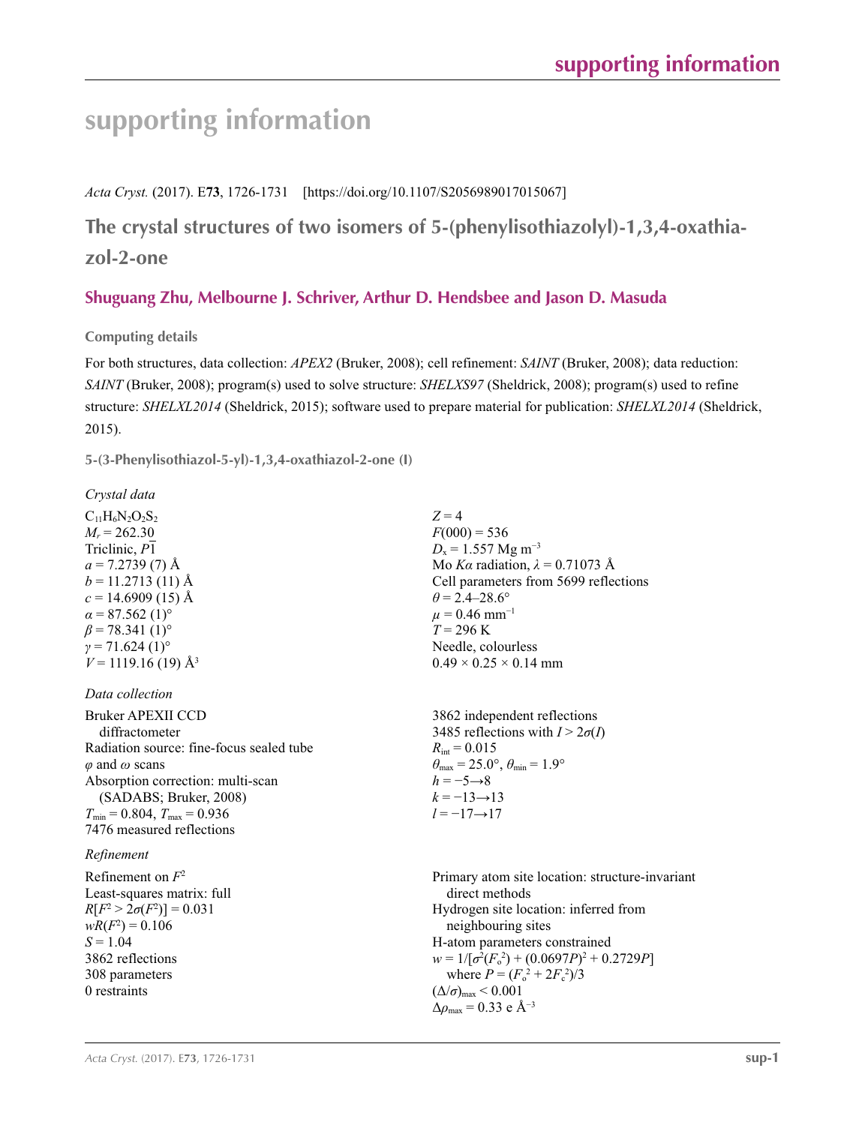# **supporting information**

*Acta Cryst.* (2017). E**73**, 1726-1731 [https://doi.org/10.1107/S2056989017015067]

**The crystal structures of two isomers of 5-(phenylisothiazolyl)-1,3,4-oxathiazol-2-one**

# **Shuguang Zhu, Melbourne J. Schriver, Arthur D. Hendsbee and Jason D. Masuda**

**Computing details** 

For both structures, data collection: *APEX2* (Bruker, 2008); cell refinement: *SAINT* (Bruker, 2008); data reduction: *SAINT* (Bruker, 2008); program(s) used to solve structure: *SHELXS97* (Sheldrick, 2008); program(s) used to refine structure: *SHELXL2014* (Sheldrick, 2015); software used to prepare material for publication: *SHELXL2014* (Sheldrick, 2015).

**5-(3-Phenylisothiazol-5-yl)-1,3,4-oxathiazol-2-one (I)** 

*Crystal data*

 $C_{11}H_6N_2O_2S_2$  $M_r = 262.30$ Triclinic, *P*1  $a = 7.2739(7)$  Å  $b = 11.2713(11)$  Å  $c = 14.6909(15)$  Å  $\alpha$  = 87.562 (1)<sup>o</sup>  $\beta$  = 78.341 (1)<sup>o</sup>  $\gamma$  = 71.624 (1)<sup>o</sup>  $V = 1119.16$  (19) Å<sup>3</sup>

# *Data collection*

Bruker APEXII CCD diffractometer Radiation source: fine-focus sealed tube *φ* and *ω* scans Absorption correction: multi-scan (SADABS; Bruker, 2008)  $T_{\text{min}} = 0.804, T_{\text{max}} = 0.936$ 7476 measured reflections

# *Refinement*

Refinement on *F*<sup>2</sup> Least-squares matrix: full  $R[F^2 > 2\sigma(F^2)] = 0.031$  $wR(F^2) = 0.106$  $S = 1.04$ 3862 reflections 308 parameters 0 restraints

 $Z = 4$  $F(000) = 536$  $D_x = 1.557$  Mg m<sup>-3</sup> Mo *Kα* radiation, *λ* = 0.71073 Å Cell parameters from 5699 reflections  $\theta$  = 2.4–28.6°  $\mu$  = 0.46 mm<sup>-1</sup>  $T = 296$  K Needle, colourless  $0.49 \times 0.25 \times 0.14$  mm

3862 independent reflections 3485 reflections with  $I > 2\sigma(I)$  $R_{\text{int}} = 0.015$  $\theta_{\text{max}} = 25.0^{\circ}, \theta_{\text{min}} = 1.9^{\circ}$  $h = -5 \rightarrow 8$  $k = -13 \rightarrow 13$ *l* = −17→17

Primary atom site location: structure-invariant direct methods Hydrogen site location: inferred from neighbouring sites H-atom parameters constrained  $w = 1/[\sigma^2(F_0^2) + (0.0697P)^2 + 0.2729P]$ where  $P = (F_o^2 + 2F_c^2)/3$  $(\Delta/\sigma)_{\text{max}}$  < 0.001  $\Delta\rho_{\text{max}} = 0.33$  e Å<sup>-3</sup>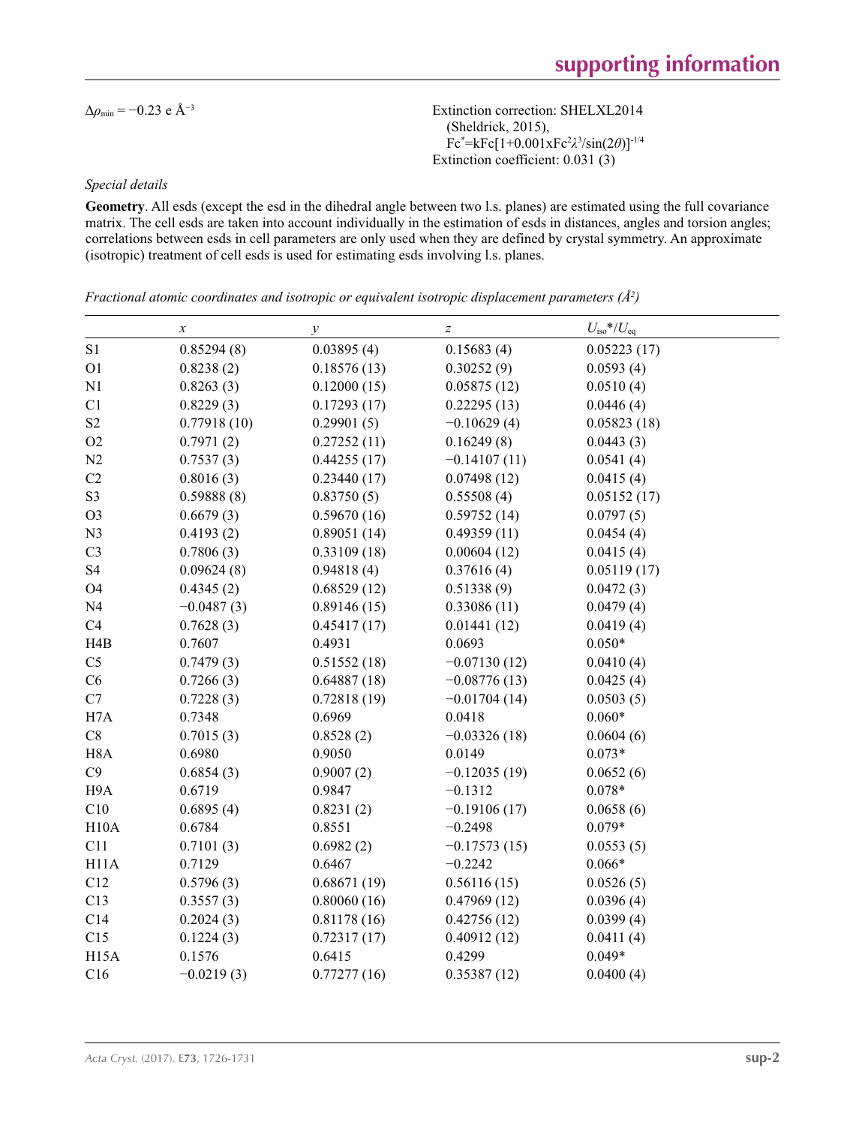$\Delta \rho_{\text{min}} = -0.23 \text{ e A}^{-3}$  Extinction correction: SHELXL2014 (Sheldrick, 2015), Fc\* =kFc[1+0.001xFc2 *λ*3 /sin(2*θ*)]-1/4 Extinction coefficient: 0.031 (3)

### *Special details*

**Geometry**. All esds (except the esd in the dihedral angle between two l.s. planes) are estimated using the full covariance matrix. The cell esds are taken into account individually in the estimation of esds in distances, angles and torsion angles; correlations between esds in cell parameters are only used when they are defined by crystal symmetry. An approximate (isotropic) treatment of cell esds is used for estimating esds involving l.s. planes.

*Fractional atomic coordinates and isotropic or equivalent isotropic displacement parameters (Å2 )*

|                   | $\boldsymbol{\chi}$ | $\mathcal{Y}$ | $\boldsymbol{Z}$ | $U_{\rm iso}*/U_{\rm eq}$ |  |
|-------------------|---------------------|---------------|------------------|---------------------------|--|
| S1                | 0.85294(8)          | 0.03895(4)    | 0.15683(4)       | 0.05223(17)               |  |
| O <sub>1</sub>    | 0.8238(2)           | 0.18576(13)   | 0.30252(9)       | 0.0593(4)                 |  |
| N1                | 0.8263(3)           | 0.12000(15)   | 0.05875(12)      | 0.0510(4)                 |  |
| C1                | 0.8229(3)           | 0.17293(17)   | 0.22295(13)      | 0.0446(4)                 |  |
| $\rm S2$          | 0.77918(10)         | 0.29901(5)    | $-0.10629(4)$    | 0.05823(18)               |  |
| O2                | 0.7971(2)           | 0.27252(11)   | 0.16249(8)       | 0.0443(3)                 |  |
| N2                | 0.7537(3)           | 0.44255(17)   | $-0.14107(11)$   | 0.0541(4)                 |  |
| C2                | 0.8016(3)           | 0.23440(17)   | 0.07498(12)      | 0.0415(4)                 |  |
| S <sub>3</sub>    | 0.59888(8)          | 0.83750(5)    | 0.55508(4)       | 0.05152(17)               |  |
| O <sub>3</sub>    | 0.6679(3)           | 0.59670(16)   | 0.59752(14)      | 0.0797(5)                 |  |
| N <sub>3</sub>    | 0.4193(2)           | 0.89051(14)   | 0.49359(11)      | 0.0454(4)                 |  |
| C <sub>3</sub>    | 0.7806(3)           | 0.33109(18)   | 0.00604(12)      | 0.0415(4)                 |  |
| S <sub>4</sub>    | 0.09624(8)          | 0.94818(4)    | 0.37616(4)       | 0.05119(17)               |  |
| <b>O4</b>         | 0.4345(2)           | 0.68529(12)   | 0.51338(9)       | 0.0472(3)                 |  |
| N <sub>4</sub>    | $-0.0487(3)$        | 0.89146(15)   | 0.33086(11)      | 0.0479(4)                 |  |
| C4                | 0.7628(3)           | 0.45417(17)   | 0.01441(12)      | 0.0419(4)                 |  |
| H4B               | 0.7607              | 0.4931        | 0.0693           | $0.050*$                  |  |
| C <sub>5</sub>    | 0.7479(3)           | 0.51552(18)   | $-0.07130(12)$   | 0.0410(4)                 |  |
| C6                | 0.7266(3)           | 0.64887(18)   | $-0.08776(13)$   | 0.0425(4)                 |  |
| C7                | 0.7228(3)           | 0.72818(19)   | $-0.01704(14)$   | 0.0503(5)                 |  |
| H7A               | 0.7348              | 0.6969        | 0.0418           | $0.060*$                  |  |
| C8                | 0.7015(3)           | 0.8528(2)     | $-0.03326(18)$   | 0.0604(6)                 |  |
| H <sub>8</sub> A  | 0.6980              | 0.9050        | 0.0149           | $0.073*$                  |  |
| C9                | 0.6854(3)           | 0.9007(2)     | $-0.12035(19)$   | 0.0652(6)                 |  |
| H <sub>9</sub> A  | 0.6719              | 0.9847        | $-0.1312$        | $0.078*$                  |  |
| C10               | 0.6895(4)           | 0.8231(2)     | $-0.19106(17)$   | 0.0658(6)                 |  |
| H10A              | 0.6784              | 0.8551        | $-0.2498$        | $0.079*$                  |  |
| C11               | 0.7101(3)           | 0.6982(2)     | $-0.17573(15)$   | 0.0553(5)                 |  |
| H <sub>11</sub> A | 0.7129              | 0.6467        | $-0.2242$        | $0.066*$                  |  |
| C12               | 0.5796(3)           | 0.68671(19)   | 0.56116(15)      | 0.0526(5)                 |  |
| C13               | 0.3557(3)           | 0.80060(16)   | 0.47969(12)      | 0.0396(4)                 |  |
| C14               | 0.2024(3)           | 0.81178(16)   | 0.42756(12)      | 0.0399(4)                 |  |
| C15               | 0.1224(3)           | 0.72317(17)   | 0.40912(12)      | 0.0411(4)                 |  |
| H <sub>15</sub> A | 0.1576              | 0.6415        | 0.4299           | $0.049*$                  |  |
| C16               | $-0.0219(3)$        | 0.77277(16)   | 0.35387(12)      | 0.0400(4)                 |  |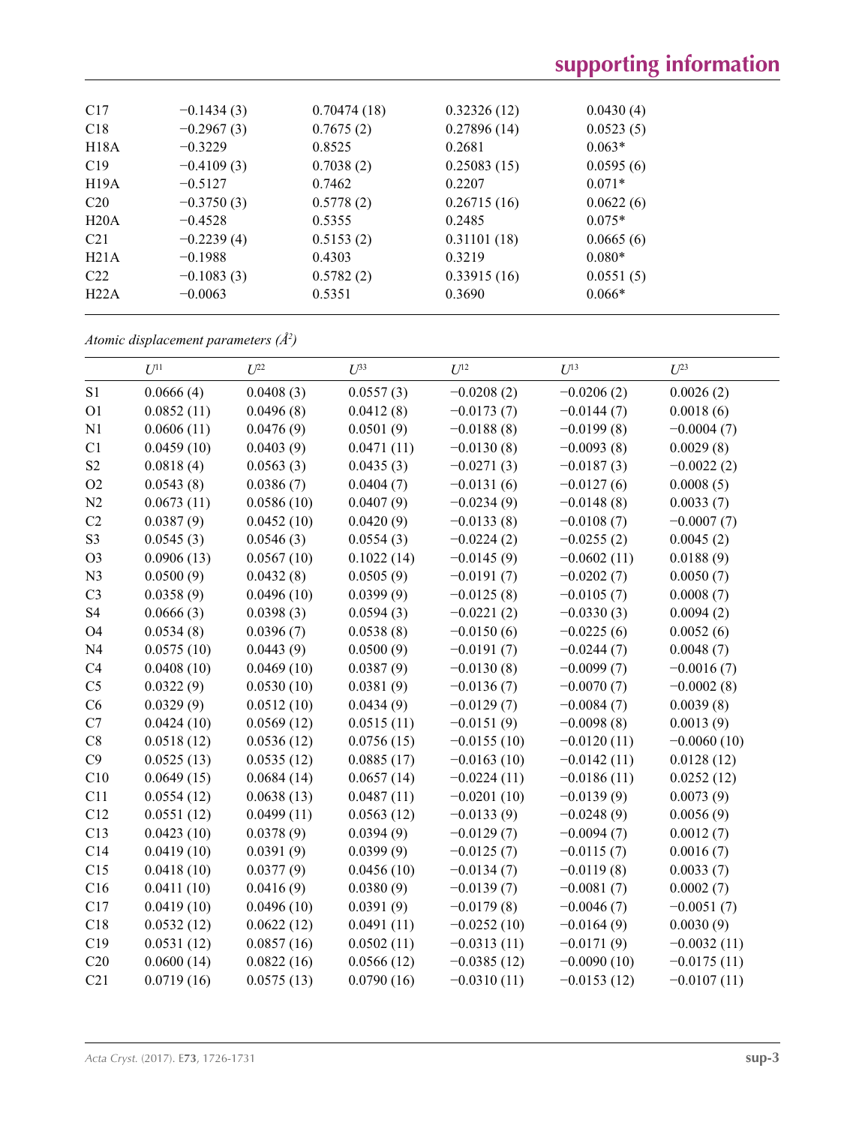| C17             | $-0.1434(3)$ | 0.70474(18) | 0.32326(12) | 0.0430(4) |
|-----------------|--------------|-------------|-------------|-----------|
| C18             | $-0.2967(3)$ | 0.7675(2)   | 0.27896(14) | 0.0523(5) |
| H18A            | $-0.3229$    | 0.8525      | 0.2681      | $0.063*$  |
| C19             | $-0.4109(3)$ | 0.7038(2)   | 0.25083(15) | 0.0595(6) |
| H19A            | $-0.5127$    | 0.7462      | 0.2207      | $0.071*$  |
| C20             | $-0.3750(3)$ | 0.5778(2)   | 0.26715(16) | 0.0622(6) |
| H20A            | $-0.4528$    | 0.5355      | 0.2485      | $0.075*$  |
| C <sub>21</sub> | $-0.2239(4)$ | 0.5153(2)   | 0.31101(18) | 0.0665(6) |
| H21A            | $-0.1988$    | 0.4303      | 0.3219      | $0.080*$  |
| C22             | $-0.1083(3)$ | 0.5782(2)   | 0.33915(16) | 0.0551(5) |
| H22A            | $-0.0063$    | 0.5351      | 0.3690      | $0.066*$  |
|                 |              |             |             |           |

*Atomic displacement parameters (Å2 )*

|                | $U^{11}$   | $U^{22}$   | $U^{33}$   | $U^{12}$      | $U^{13}$      | $U^{23}$      |
|----------------|------------|------------|------------|---------------|---------------|---------------|
| S1             | 0.0666(4)  | 0.0408(3)  | 0.0557(3)  | $-0.0208(2)$  | $-0.0206(2)$  | 0.0026(2)     |
| O <sub>1</sub> | 0.0852(11) | 0.0496(8)  | 0.0412(8)  | $-0.0173(7)$  | $-0.0144(7)$  | 0.0018(6)     |
| N1             | 0.0606(11) | 0.0476(9)  | 0.0501(9)  | $-0.0188(8)$  | $-0.0199(8)$  | $-0.0004(7)$  |
| C1             | 0.0459(10) | 0.0403(9)  | 0.0471(11) | $-0.0130(8)$  | $-0.0093(8)$  | 0.0029(8)     |
| S2             | 0.0818(4)  | 0.0563(3)  | 0.0435(3)  | $-0.0271(3)$  | $-0.0187(3)$  | $-0.0022(2)$  |
| O2             | 0.0543(8)  | 0.0386(7)  | 0.0404(7)  | $-0.0131(6)$  | $-0.0127(6)$  | 0.0008(5)     |
| N2             | 0.0673(11) | 0.0586(10) | 0.0407(9)  | $-0.0234(9)$  | $-0.0148(8)$  | 0.0033(7)     |
| C2             | 0.0387(9)  | 0.0452(10) | 0.0420(9)  | $-0.0133(8)$  | $-0.0108(7)$  | $-0.0007(7)$  |
| S <sub>3</sub> | 0.0545(3)  | 0.0546(3)  | 0.0554(3)  | $-0.0224(2)$  | $-0.0255(2)$  | 0.0045(2)     |
| O <sub>3</sub> | 0.0906(13) | 0.0567(10) | 0.1022(14) | $-0.0145(9)$  | $-0.0602(11)$ | 0.0188(9)     |
| N <sub>3</sub> | 0.0500(9)  | 0.0432(8)  | 0.0505(9)  | $-0.0191(7)$  | $-0.0202(7)$  | 0.0050(7)     |
| C <sub>3</sub> | 0.0358(9)  | 0.0496(10) | 0.0399(9)  | $-0.0125(8)$  | $-0.0105(7)$  | 0.0008(7)     |
| S4             | 0.0666(3)  | 0.0398(3)  | 0.0594(3)  | $-0.0221(2)$  | $-0.0330(3)$  | 0.0094(2)     |
| <b>O4</b>      | 0.0534(8)  | 0.0396(7)  | 0.0538(8)  | $-0.0150(6)$  | $-0.0225(6)$  | 0.0052(6)     |
| N <sub>4</sub> | 0.0575(10) | 0.0443(9)  | 0.0500(9)  | $-0.0191(7)$  | $-0.0244(7)$  | 0.0048(7)     |
| C4             | 0.0408(10) | 0.0469(10) | 0.0387(9)  | $-0.0130(8)$  | $-0.0099(7)$  | $-0.0016(7)$  |
| C <sub>5</sub> | 0.0322(9)  | 0.0530(10) | 0.0381(9)  | $-0.0136(7)$  | $-0.0070(7)$  | $-0.0002(8)$  |
| C6             | 0.0329(9)  | 0.0512(10) | 0.0434(9)  | $-0.0129(7)$  | $-0.0084(7)$  | 0.0039(8)     |
| C7             | 0.0424(10) | 0.0569(12) | 0.0515(11) | $-0.0151(9)$  | $-0.0098(8)$  | 0.0013(9)     |
| $\rm{C}8$      | 0.0518(12) | 0.0536(12) | 0.0756(15) | $-0.0155(10)$ | $-0.0120(11)$ | $-0.0060(10)$ |
| C9             | 0.0525(13) | 0.0535(12) | 0.0885(17) | $-0.0163(10)$ | $-0.0142(11)$ | 0.0128(12)    |
| C10            | 0.0649(15) | 0.0684(14) | 0.0657(14) | $-0.0224(11)$ | $-0.0186(11)$ | 0.0252(12)    |
| C11            | 0.0554(12) | 0.0638(13) | 0.0487(11) | $-0.0201(10)$ | $-0.0139(9)$  | 0.0073(9)     |
| C12            | 0.0551(12) | 0.0499(11) | 0.0563(12) | $-0.0133(9)$  | $-0.0248(9)$  | 0.0056(9)     |
| C13            | 0.0423(10) | 0.0378(9)  | 0.0394(9)  | $-0.0129(7)$  | $-0.0094(7)$  | 0.0012(7)     |
| C14            | 0.0419(10) | 0.0391(9)  | 0.0399(9)  | $-0.0125(7)$  | $-0.0115(7)$  | 0.0016(7)     |
| C15            | 0.0418(10) | 0.0377(9)  | 0.0456(10) | $-0.0134(7)$  | $-0.0119(8)$  | 0.0033(7)     |
| C16            | 0.0411(10) | 0.0416(9)  | 0.0380(9)  | $-0.0139(7)$  | $-0.0081(7)$  | 0.0002(7)     |
| C17            | 0.0419(10) | 0.0496(10) | 0.0391(9)  | $-0.0179(8)$  | $-0.0046(7)$  | $-0.0051(7)$  |
| C18            | 0.0532(12) | 0.0622(12) | 0.0491(11) | $-0.0252(10)$ | $-0.0164(9)$  | 0.0030(9)     |
| C19            | 0.0531(12) | 0.0857(16) | 0.0502(11) | $-0.0313(11)$ | $-0.0171(9)$  | $-0.0032(11)$ |
| C20            | 0.0600(14) | 0.0822(16) | 0.0566(12) | $-0.0385(12)$ | $-0.0090(10)$ | $-0.0175(11)$ |
| C21            | 0.0719(16) | 0.0575(13) | 0.0790(16) | $-0.0310(11)$ | $-0.0153(12)$ | $-0.0107(11)$ |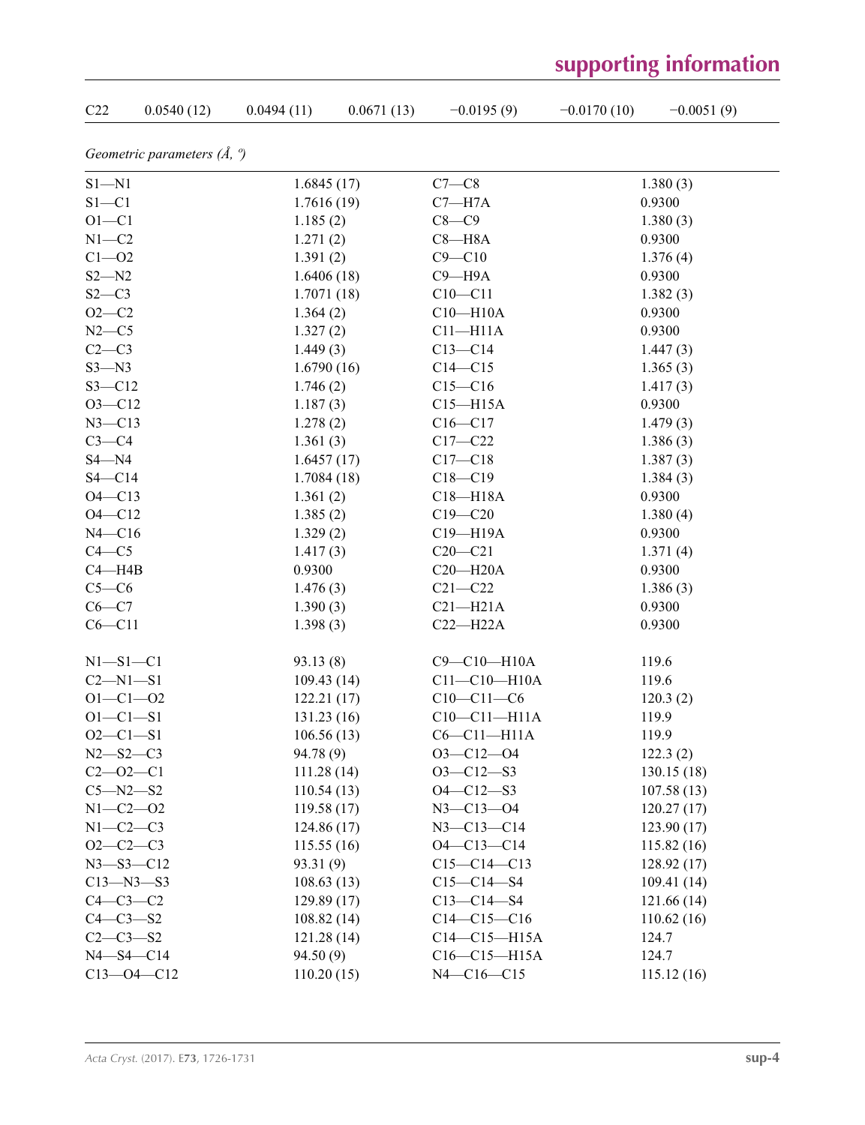# **supporting information**

| C <sub>22</sub> | 0.0540(12)                            | 0.0494(11)  | 0.0671(13) | $-0.0195(9)$       | $-0.0170(10)$ | $-0.0051(9)$ |
|-----------------|---------------------------------------|-------------|------------|--------------------|---------------|--------------|
|                 | Geometric parameters $(\AA, \degree)$ |             |            |                    |               |              |
| $S1 - N1$       |                                       | 1.6845(17)  |            | $C7-C8$            |               | 1.380(3)     |
| $S1 - C1$       |                                       | 1.7616(19)  |            | $C7 - H7A$         |               | 0.9300       |
| $O1 - C1$       |                                       | 1.185(2)    |            | $C8-C9$            |               | 1.380(3)     |
| $N1 - C2$       |                                       | 1.271(2)    |            | $C8 - H8A$         |               | 0.9300       |
| $C1 - 02$       |                                       | 1.391(2)    |            | $C9 - C10$         |               | 1.376(4)     |
| $S2 - N2$       |                                       | 1.6406(18)  |            | $C9 - H9A$         |               | 0.9300       |
| $S2-C3$         |                                       | 1.7071(18)  |            | $C10 - C11$        |               | 1.382(3)     |
| $O2 - C2$       |                                       | 1.364(2)    |            | $C10 - H10A$       |               | 0.9300       |
| $N2-C5$         |                                       | 1.327(2)    |            | $C11 - H11A$       |               | 0.9300       |
| $C2-C3$         |                                       | 1.449(3)    |            | $C13 - C14$        |               | 1.447(3)     |
| $S3 - N3$       |                                       | 1.6790(16)  |            | $C14 - C15$        |               | 1.365(3)     |
| $S3 - C12$      |                                       | 1.746(2)    |            | $C15 - C16$        |               | 1.417(3)     |
| $O3 - C12$      |                                       | 1.187(3)    |            | $C15 - H15A$       |               | 0.9300       |
| $N3 - C13$      |                                       | 1.278(2)    |            | $C16 - C17$        |               | 1.479(3)     |
| $C3-C4$         |                                       | 1.361(3)    |            | $C17-C22$          |               | 1.386(3)     |
| $S4 - N4$       |                                       | 1.6457(17)  |            | $C17 - C18$        |               | 1.387(3)     |
| $S4 - C14$      |                                       | 1.7084(18)  |            | $C18 - C19$        |               | 1.384(3)     |
| $O4 - C13$      |                                       | 1.361(2)    |            | $C18 - H18A$       |               | 0.9300       |
| $O4 - C12$      |                                       | 1.385(2)    |            | $C19 - C20$        |               | 1.380(4)     |
| $N4 - C16$      |                                       | 1.329(2)    |            | C19-H19A           |               | 0.9300       |
| $C4 - C5$       |                                       | 1.417(3)    |            | $C20 - C21$        |               | 1.371(4)     |
| $C4 - H4B$      |                                       | 0.9300      |            | $C20 - H20A$       |               | 0.9300       |
| $C5-C6$         |                                       | 1.476(3)    |            | $C21 - C22$        |               | 1.386(3)     |
| $C6-C7$         |                                       | 1.390(3)    |            | $C21 - H21A$       |               | 0.9300       |
| $C6 - C11$      |                                       | 1.398(3)    |            | $C22-H22A$         |               | 0.9300       |
| $N1 - S1 - C1$  |                                       | 93.13(8)    |            | C9-C10-H10A        |               | 119.6        |
| $C2 - N1 - S1$  |                                       | 109.43(14)  |            | $C11 - C10 - H10A$ |               | 119.6        |
| $O1 - C1 - O2$  |                                       | 122.21(17)  |            | $C10-C11-C6$       |               | 120.3(2)     |
| $O1 - C1 - S1$  |                                       | 131.23(16)  |            | $C10-C11-H11A$     |               | 119.9        |
| $O2 - C1 - S1$  |                                       | 106.56(13)  |            | $C6-C11-H11A$      |               | 119.9        |
| $N2 - S2 - C3$  |                                       | 94.78 (9)   |            | $O3 - C12 - O4$    |               | 122.3(2)     |
| $C2 - 02 - C1$  |                                       | 111.28(14)  |            | $O3 - C12 - S3$    |               | 130.15(18)   |
| $C5 - N2 - S2$  |                                       | 110.54(13)  |            | $O4 - C12 - S3$    |               | 107.58(13)   |
| $N1 - C2 - 02$  |                                       | 119.58(17)  |            | $N3 - C13 - O4$    |               | 120.27(17)   |
| $N1-C2-C3$      |                                       | 124.86 (17) |            | $N3 - C13 - C14$   |               | 123.90(17)   |
| $O2-C2-C3$      |                                       | 115.55(16)  |            | $O4 - C13 - C14$   |               | 115.82 (16)  |
|                 | $N3 - S3 - C12$                       | 93.31 (9)   |            | $C15-C14-C13$      |               | 128.92(17)   |
|                 | $C13 - N3 - S3$                       | 108.63(13)  |            | $C15 - C14 - S4$   |               | 109.41(14)   |
| $C4-C3-C2$      |                                       | 129.89(17)  |            | $C13 - C14 - S4$   |               | 121.66(14)   |
| $C4-C3-S2$      |                                       | 108.82(14)  |            | $C14-C15-C16$      |               | 110.62(16)   |
| $C2 - C3 - S2$  |                                       | 121.28(14)  |            | $C14 - C15 - H15A$ |               | 124.7        |
|                 | $N4 - S4 - C14$                       | 94.50(9)    |            | $C16-C15-H15A$     |               | 124.7        |
|                 | $C13 - 04 - C12$                      | 110.20(15)  |            | $N4 - C16 - C15$   |               | 115.12(16)   |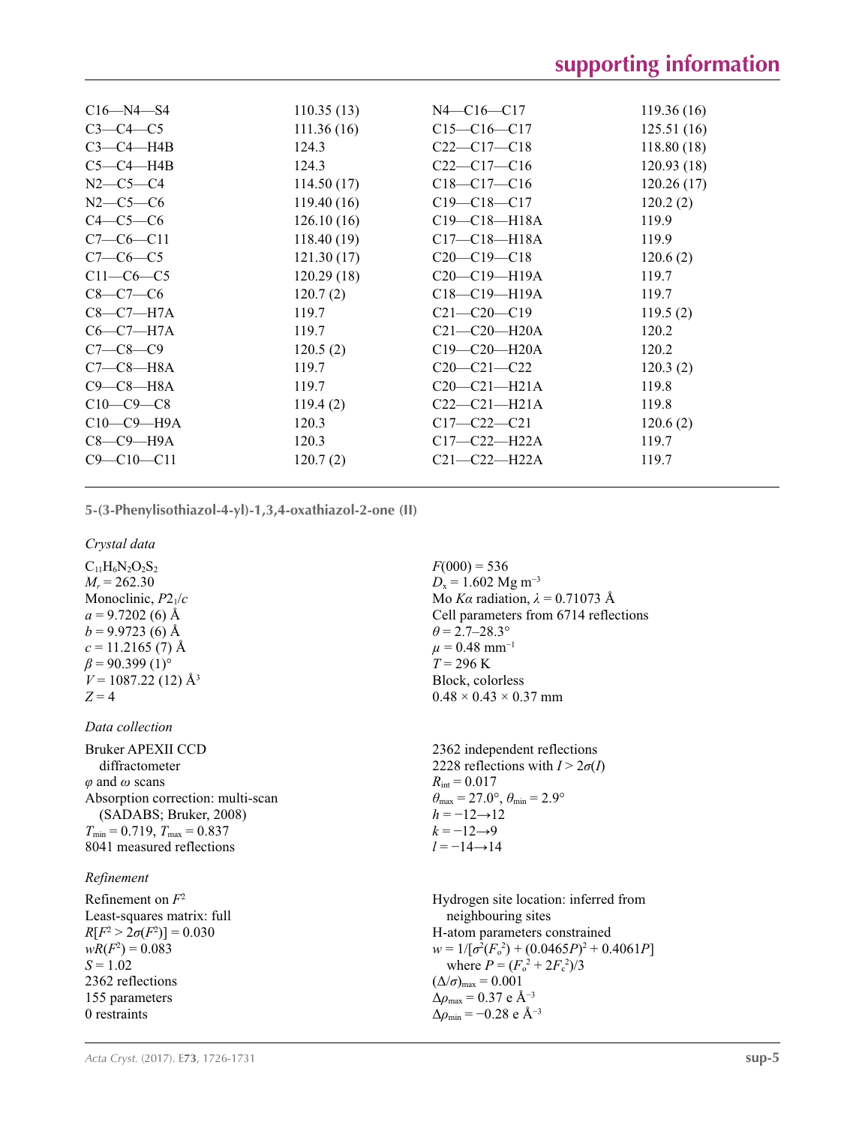| $C16 - N4 - S4$  | 110.35(13) | $N4 - C16 - C17$   | 119.36(16) |
|------------------|------------|--------------------|------------|
| $C3-C4-C5$       | 111.36(16) | $C15 - C16 - C17$  | 125.51(16) |
| $C3-C4-H4B$      | 124.3      | $C22 - C17 - C18$  | 118.80(18) |
| $C5-C4-H4B$      | 124.3      | $C22-C17-C16$      | 120.93(18) |
| $N2-C5-C4$       | 114.50(17) | $C18 - C17 - C16$  | 120.26(17) |
| $N2-C5-C6$       | 119.40(16) | $C19 - C18 - C17$  | 120.2(2)   |
| $C4-C5-C6$       | 126.10(16) | $C19 - C18 - H18A$ | 119.9      |
| $C7-C6-C11$      | 118.40(19) | $C17 - C18 - H18A$ | 119.9      |
| $C7-C6-C5$       | 121.30(17) | $C20-C19-C18$      | 120.6(2)   |
| $C11-C6-C5$      | 120.29(18) | $C20-C19-H19A$     | 119.7      |
| $C8 - C7 - C6$   | 120.7(2)   | $C18 - C19 - H19A$ | 119.7      |
| $C8-C7-H7A$      | 119.7      | $C21 - C20 - C19$  | 119.5(2)   |
| $C6-C7-H7A$      | 119.7      | $C21 - C20 - H20A$ | 120.2      |
| $C7 - C8 - C9$   | 120.5(2)   | $C19 - C20 - H20A$ | 120.2      |
| $C7-C8-H8A$      | 119.7      | $C20-C21-C22$      | 120.3(2)   |
| $C9-C8-H8A$      | 119.7      | $C20-C21-H21A$     | 119.8      |
| $C10-C9-C8$      | 119.4(2)   | $C22-C21-H21A$     | 119.8      |
| $C10-C9-H9A$     | 120.3      | $C17 - C22 - C21$  | 120.6(2)   |
| $C8-C9$ —H9A     | 120.3      | $C17 - C22 - H22A$ | 119.7      |
| $C9 - C10 - C11$ | 120.7(2)   | $C21 - C22 - H22A$ | 119.7      |
|                  |            |                    |            |

**5-(3-Phenylisothiazol-4-yl)-1,3,4-oxathiazol-2-one (II)** 

*Crystal data*  $C_{11}H_6N_2O_2S_2$  $M_r = 262.30$ Monoclinic, *P*21/*c*  $a = 9.7202(6)$  Å  $b = 9.9723(6)$  Å  $c = 11.2165(7)$  Å  $\beta$  = 90.399 (1)<sup>o</sup>  $V = 1087.22$  (12) Å<sup>3</sup>  $Z = 4$ 

# *Data collection*

Bruker APEXII CCD diffractometer *φ* and *ω* scans Absorption correction: multi-scan (SADABS; Bruker, 2008)  $T_{\text{min}} = 0.719$ ,  $T_{\text{max}} = 0.837$ 8041 measured reflections

# *Refinement*

Refinement on *F*<sup>2</sup> Least-squares matrix: full  $R[F^2 > 2\sigma(F^2)] = 0.030$  $wR(F^2) = 0.083$  $S = 1.02$ 2362 reflections 155 parameters 0 restraints

 $F(000) = 536$  $D_x = 1.602$  Mg m<sup>-3</sup> Mo *Kα* radiation,  $\lambda = 0.71073$  Å Cell parameters from 6714 reflections  $\theta$  = 2.7–28.3°  $\mu$  = 0.48 mm<sup>-1</sup>  $T = 296$  K Block, colorless  $0.48 \times 0.43 \times 0.37$  mm

2362 independent reflections 2228 reflections with  $I > 2\sigma(I)$  $R_{\text{int}} = 0.017$  $\theta_{\text{max}} = 27.0^{\circ}, \theta_{\text{min}} = 2.9^{\circ}$  $h = -12 \rightarrow 12$  $k = -12 \rightarrow 9$ *l* = −14→14

Hydrogen site location: inferred from neighbouring sites H-atom parameters constrained  $w = 1/[\sigma^2 (F_o^2) + (0.0465P)^2 + 0.4061P]$ where  $P = (F_o^2 + 2F_c^2)/3$  $(\Delta/\sigma)_{\text{max}} = 0.001$ Δ*ρ*max = 0.37 e Å−3  $\Delta\rho_{\text{min}} = -0.28$  e Å<sup>-3</sup>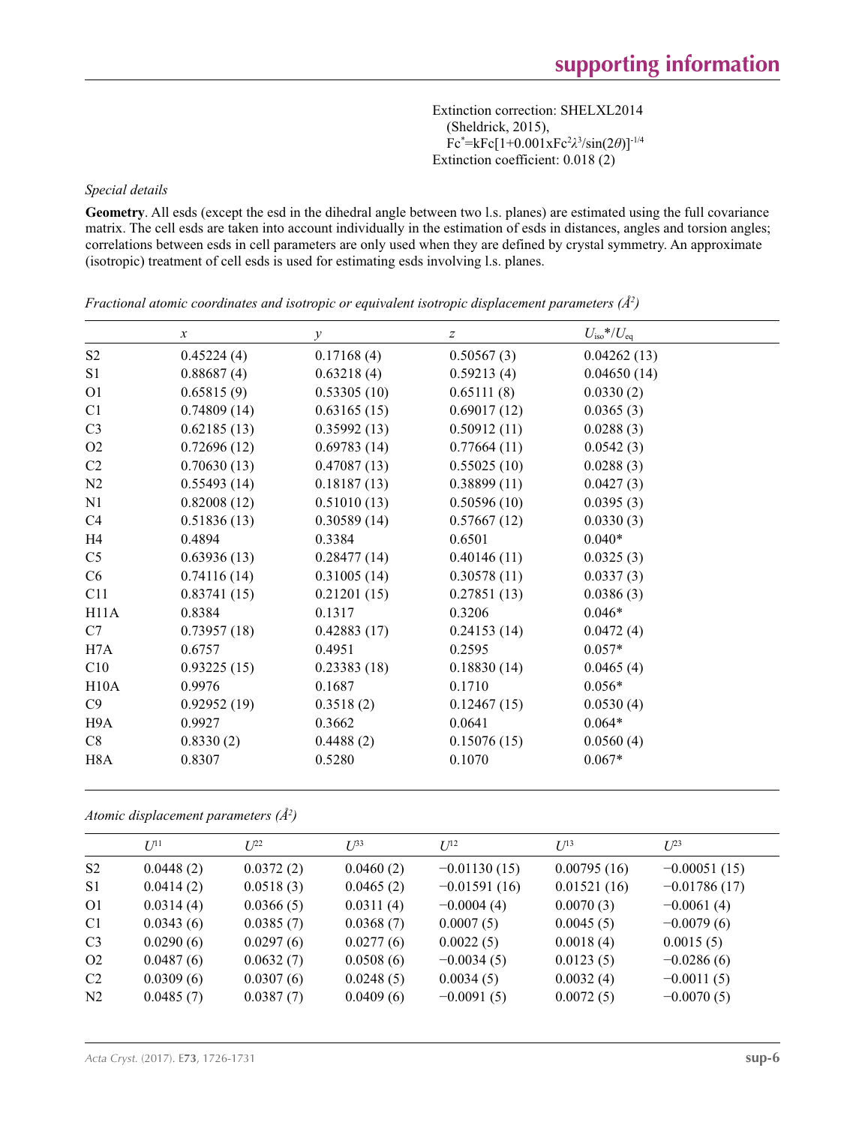Extinction correction: SHELXL2014 (Sheldrick, 2015), Fc\* =kFc[1+0.001xFc2 *λ*3 /sin(2*θ*)]-1/4 Extinction coefficient: 0.018 (2)

*Special details*

**Geometry**. All esds (except the esd in the dihedral angle between two l.s. planes) are estimated using the full covariance matrix. The cell esds are taken into account individually in the estimation of esds in distances, angles and torsion angles; correlations between esds in cell parameters are only used when they are defined by crystal symmetry. An approximate (isotropic) treatment of cell esds is used for estimating esds involving l.s. planes.

|                  | $\mathcal{X}$ | $\mathcal{Y}$ | $\boldsymbol{Z}$ | $U_{\rm iso}$ */ $U_{\rm eq}$ |
|------------------|---------------|---------------|------------------|-------------------------------|
| S <sub>2</sub>   | 0.45224(4)    | 0.17168(4)    | 0.50567(3)       | 0.04262(13)                   |
| S1               | 0.88687(4)    | 0.63218(4)    | 0.59213(4)       | 0.04650(14)                   |
| O <sub>1</sub>   | 0.65815(9)    | 0.53305(10)   | 0.65111(8)       | 0.0330(2)                     |
| C1               | 0.74809(14)   | 0.63165(15)   | 0.69017(12)      | 0.0365(3)                     |
| C <sub>3</sub>   | 0.62185(13)   | 0.35992(13)   | 0.50912(11)      | 0.0288(3)                     |
| O <sub>2</sub>   | 0.72696(12)   | 0.69783(14)   | 0.77664(11)      | 0.0542(3)                     |
| C <sub>2</sub>   | 0.70630(13)   | 0.47087(13)   | 0.55025(10)      | 0.0288(3)                     |
| N2               | 0.55493(14)   | 0.18187(13)   | 0.38899(11)      | 0.0427(3)                     |
| N1               | 0.82008(12)   | 0.51010(13)   | 0.50596(10)      | 0.0395(3)                     |
| C <sub>4</sub>   | 0.51836(13)   | 0.30589(14)   | 0.57667(12)      | 0.0330(3)                     |
| H <sub>4</sub>   | 0.4894        | 0.3384        | 0.6501           | $0.040*$                      |
| C <sub>5</sub>   | 0.63936(13)   | 0.28477(14)   | 0.40146(11)      | 0.0325(3)                     |
| C6               | 0.74116(14)   | 0.31005(14)   | 0.30578(11)      | 0.0337(3)                     |
| C11              | 0.83741(15)   | 0.21201(15)   | 0.27851(13)      | 0.0386(3)                     |
| H11A             | 0.8384        | 0.1317        | 0.3206           | $0.046*$                      |
| C7               | 0.73957(18)   | 0.42883(17)   | 0.24153(14)      | 0.0472(4)                     |
| H7A              | 0.6757        | 0.4951        | 0.2595           | $0.057*$                      |
| C10              | 0.93225(15)   | 0.23383(18)   | 0.18830(14)      | 0.0465(4)                     |
| H10A             | 0.9976        | 0.1687        | 0.1710           | $0.056*$                      |
| C9               | 0.92952(19)   | 0.3518(2)     | 0.12467(15)      | 0.0530(4)                     |
| H9A              | 0.9927        | 0.3662        | 0.0641           | $0.064*$                      |
| C8               | 0.8330(2)     | 0.4488(2)     | 0.15076(15)      | 0.0560(4)                     |
| H <sub>8</sub> A | 0.8307        | 0.5280        | 0.1070           | $0.067*$                      |

*Fractional atomic coordinates and isotropic or equivalent isotropic displacement parameters (Å2 )*

*Atomic displacement parameters (Å2 )*

|                | $U^{11}$  | I/22      | $U^{33}$  | $U^{12}$       | $U^{13}$    | $L^{23}$       |
|----------------|-----------|-----------|-----------|----------------|-------------|----------------|
| S <sub>2</sub> | 0.0448(2) | 0.0372(2) | 0.0460(2) | $-0.01130(15)$ | 0.00795(16) | $-0.00051(15)$ |
| S <sub>1</sub> | 0.0414(2) | 0.0518(3) | 0.0465(2) | $-0.01591(16)$ | 0.01521(16) | $-0.01786(17)$ |
| O <sub>1</sub> | 0.0314(4) | 0.0366(5) | 0.0311(4) | $-0.0004(4)$   | 0.0070(3)   | $-0.0061(4)$   |
| C1             | 0.0343(6) | 0.0385(7) | 0.0368(7) | 0.0007(5)      | 0.0045(5)   | $-0.0079(6)$   |
| C <sub>3</sub> | 0.0290(6) | 0.0297(6) | 0.0277(6) | 0.0022(5)      | 0.0018(4)   | 0.0015(5)      |
| O <sub>2</sub> | 0.0487(6) | 0.0632(7) | 0.0508(6) | $-0.0034(5)$   | 0.0123(5)   | $-0.0286(6)$   |
| C <sub>2</sub> | 0.0309(6) | 0.0307(6) | 0.0248(5) | 0.0034(5)      | 0.0032(4)   | $-0.0011(5)$   |
| N <sub>2</sub> | 0.0485(7) | 0.0387(7) | 0.0409(6) | $-0.0091(5)$   | 0.0072(5)   | $-0.0070(5)$   |
|                |           |           |           |                |             |                |